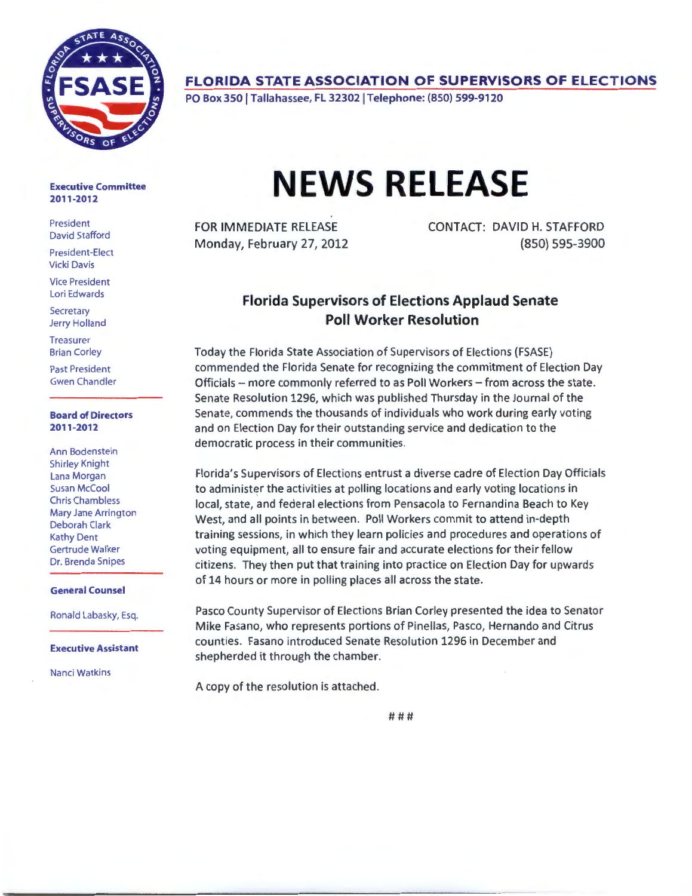

### **FLORIDA STATE ASSOCIATION OF SUPERVISORS OF ELECTIONS**

PO Box 350 | Tallahassee, FL 32302 | Telephone: (850) 599-9120

#### Executive Committee 2011-2012

President David Stafford

President-Elect Vicki Davis

Vice President Lori Edwards

**Secretary** Jerry Holland

**Treasurer** Brian Corley

Past President Gwen Chandler

#### Board of Directors 2011-2012

Ann Bodenstein Shirley Knight Lana Morgan Susan McCool Chris Chambless Mary Jane Arrington Deborah Clark Kathy Dent Gertrude Walker Dr. Brenda Snipes

#### General Counsel

Ronald Labasky, Esq.

Executive Assistant

Nanci Watkins

# **NEWS RELEASE**

FOR IMMEDIATE RELEASE Monday, February 27, 2012 CONTACT: DAVID H. STAFFORD {850) 595-3900

## **Florida Supervisors of Elections Applaud Senate Poll Worker Resolution**

Today the Florida State Association of Supervisors of Elections {FSASE) commended the Florida Senate for recognizing the commitment of Election Day Officials- more commonly referred to as Poll Workers- from across the state. Senate Resolution 1296, which was published Thursday in the Journal of the Senate, commends the thousands of individuals who work during early voting and on Election Day for their outstanding service and dedication to the democratic process in their communities.

Florida's Supervisors of Elections entrust a diverse cadre of Election Day Officials to administer the activities at polling locations and early voting locations in local, state, and federal elections from Pensacola to Fernandina Beach to Key West, and all points in between. Poll Workers commit to attend in-depth training sessions, in which they learn policies and procedures and operations of voting equipment, all to ensure fair and accurate elections for their fellow citizens. They then put that training into practice on Election Day for upwards of 14 hours or more in polling places all across the state.

Pasco County Supervisor of Elections Brian Corley presented the idea to Senator Mike Fasano, who represents portions of Pinellas, Pasco, Hernando and Citrus counties. Fasano introduced Senate Resolution 1296 in December and shepherded it through the chamber.

A copy of the resolution is attached.

###